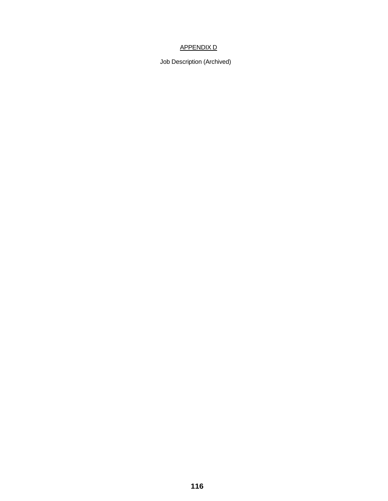# APPENDIX D

Job Description (Archived)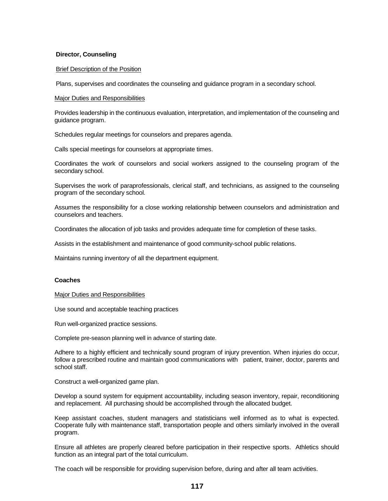## **Director, Counseling**

### Brief Description of the Position

Plans, supervises and coordinates the counseling and guidance program in a secondary school.

### Major Duties and Responsibilities

Provides leadership in the continuous evaluation, interpretation, and implementation of the counseling and guidance program.

Schedules regular meetings for counselors and prepares agenda.

Calls special meetings for counselors at appropriate times.

Coordinates the work of counselors and social workers assigned to the counseling program of the secondary school.

Supervises the work of paraprofessionals, clerical staff, and technicians, as assigned to the counseling program of the secondary school.

Assumes the responsibility for a close working relationship between counselors and administration and counselors and teachers.

Coordinates the allocation of job tasks and provides adequate time for completion of these tasks.

Assists in the establishment and maintenance of good community-school public relations.

Maintains running inventory of all the department equipment.

### **Coaches**

### Major Duties and Responsibilities

Use sound and acceptable teaching practices

Run well-organized practice sessions.

Complete pre-season planning well in advance of starting date.

Adhere to a highly efficient and technically sound program of injury prevention. When injuries do occur, follow a prescribed routine and maintain good communications with patient, trainer, doctor, parents and school staff.

Construct a well-organized game plan.

Develop a sound system for equipment accountability, including season inventory, repair, reconditioning and replacement. All purchasing should be accomplished through the allocated budget.

Keep assistant coaches, student managers and statisticians well informed as to what is expected. Cooperate fully with maintenance staff, transportation people and others similarly involved in the overall program.

Ensure all athletes are properly cleared before participation in their respective sports. Athletics should function as an integral part of the total curriculum.

The coach will be responsible for providing supervision before, during and after all team activities.